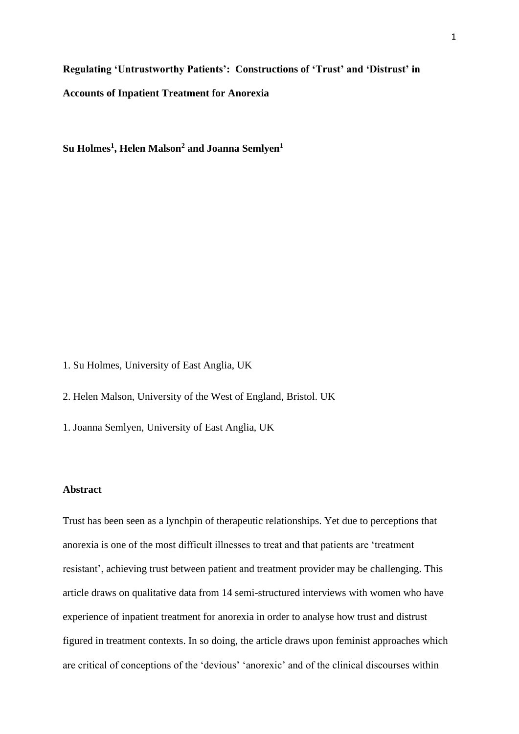**Regulating 'Untrustworthy Patients': Constructions of 'Trust' and 'Distrust' in Accounts of Inpatient Treatment for Anorexia** 

**Su Holmes<sup>1</sup> , Helen Malson<sup>2</sup> and Joanna Semlyen<sup>1</sup>**

1. Su Holmes, University of East Anglia, UK

2. Helen Malson, University of the West of England, Bristol. UK

1. Joanna Semlyen, University of East Anglia, UK

#### **Abstract**

Trust has been seen as a lynchpin of therapeutic relationships. Yet due to perceptions that anorexia is one of the most difficult illnesses to treat and that patients are 'treatment resistant', achieving trust between patient and treatment provider may be challenging. This article draws on qualitative data from 14 semi-structured interviews with women who have experience of inpatient treatment for anorexia in order to analyse how trust and distrust figured in treatment contexts. In so doing, the article draws upon feminist approaches which are critical of conceptions of the 'devious' 'anorexic' and of the clinical discourses within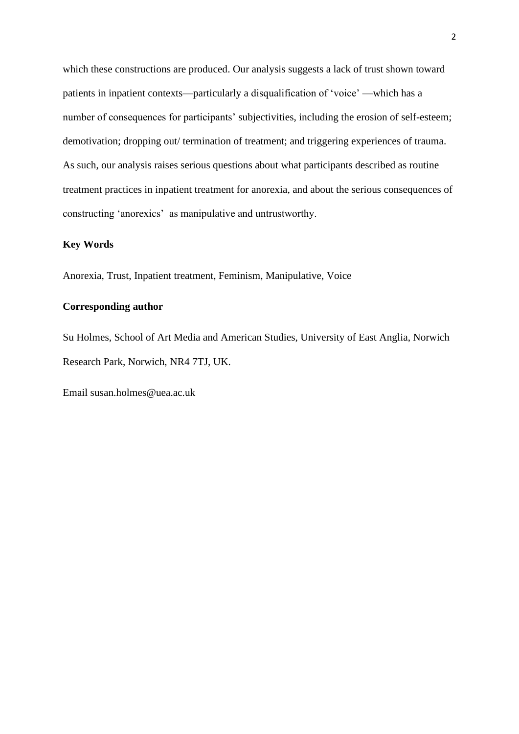which these constructions are produced. Our analysis suggests a lack of trust shown toward patients in inpatient contexts—particularly a disqualification of 'voice' —which has a number of consequences for participants' subjectivities, including the erosion of self-esteem; demotivation; dropping out/ termination of treatment; and triggering experiences of trauma. As such, our analysis raises serious questions about what participants described as routine treatment practices in inpatient treatment for anorexia, and about the serious consequences of constructing 'anorexics' as manipulative and untrustworthy.

### **Key Words**

Anorexia, Trust, Inpatient treatment, Feminism, Manipulative, Voice

# **Corresponding author**

Su Holmes, School of Art Media and American Studies, University of East Anglia, Norwich Research Park, Norwich, NR4 7TJ, UK.

Email susan.holmes@uea.ac.uk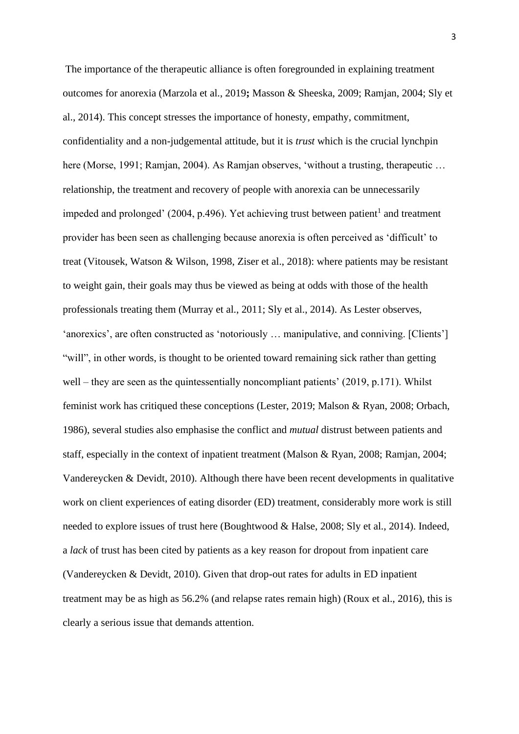The importance of the therapeutic alliance is often foregrounded in explaining treatment outcomes for anorexia (Marzola et al., 2019**;** Masson & Sheeska, 2009; Ramjan, 2004; Sly et al., 2014). This concept stresses the importance of honesty, empathy, commitment, confidentiality and a non-judgemental attitude, but it is *trust* which is the crucial lynchpin here (Morse, 1991; Ramjan, 2004). As Ramjan observes, 'without a trusting, therapeutic ... relationship, the treatment and recovery of people with anorexia can be unnecessarily impeded and prolonged'  $(2004, p.496)$ . Yet achieving trust between patient<sup>1</sup> and treatment provider has been seen as challenging because anorexia is often perceived as 'difficult' to treat (Vitousek, Watson & Wilson, 1998, Ziser et al., 2018): where patients may be resistant to weight gain, their goals may thus be viewed as being at odds with those of the health professionals treating them (Murray et al., 2011; Sly et al., 2014). As Lester observes, 'anorexics', are often constructed as 'notoriously … manipulative, and conniving. [Clients'] "will", in other words, is thought to be oriented toward remaining sick rather than getting well – they are seen as the quintessentially noncompliant patients' (2019, p.171). Whilst feminist work has critiqued these conceptions (Lester, 2019; Malson & Ryan, 2008; Orbach, 1986), several studies also emphasise the conflict and *mutual* distrust between patients and staff, especially in the context of inpatient treatment (Malson & Ryan, 2008; Ramjan, 2004; Vandereycken & Devidt, 2010). Although there have been recent developments in qualitative work on client experiences of eating disorder (ED) treatment, considerably more work is still needed to explore issues of trust here (Boughtwood & Halse, 2008; Sly et al., 2014). Indeed, a *lack* of trust has been cited by patients as a key reason for dropout from inpatient care (Vandereycken & Devidt, 2010). Given that drop-out rates for adults in ED inpatient treatment may be as high as 56.2% (and relapse rates remain high) (Roux et al., 2016), this is clearly a serious issue that demands attention.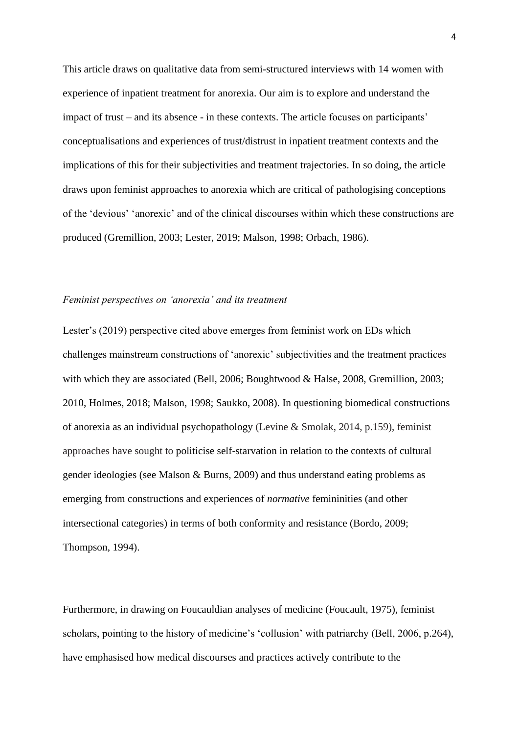This article draws on qualitative data from semi-structured interviews with 14 women with experience of inpatient treatment for anorexia. Our aim is to explore and understand the impact of trust – and its absence - in these contexts. The article focuses on participants' conceptualisations and experiences of trust/distrust in inpatient treatment contexts and the implications of this for their subjectivities and treatment trajectories. In so doing, the article draws upon feminist approaches to anorexia which are critical of pathologising conceptions of the 'devious' 'anorexic' and of the clinical discourses within which these constructions are produced (Gremillion, 2003; Lester, 2019; Malson, 1998; Orbach, 1986).

### *Feminist perspectives on 'anorexia' and its treatment*

Lester's (2019) perspective cited above emerges from feminist work on EDs which challenges mainstream constructions of 'anorexic' subjectivities and the treatment practices with which they are associated (Bell, 2006; Boughtwood & Halse, 2008, Gremillion, 2003; 2010, Holmes, 2018; Malson, 1998; Saukko, 2008). In questioning biomedical constructions of anorexia as an individual psychopathology (Levine & Smolak, 2014, p.159), feminist approaches have sought to politicise self-starvation in relation to the contexts of cultural gender ideologies (see Malson & Burns, 2009) and thus understand eating problems as emerging from constructions and experiences of *normative* femininities (and other intersectional categories) in terms of both conformity and resistance (Bordo, 2009; Thompson, 1994).

Furthermore, in drawing on Foucauldian analyses of medicine (Foucault, 1975), feminist scholars, pointing to the history of medicine's 'collusion' with patriarchy (Bell, 2006, p.264), have emphasised how medical discourses and practices actively contribute to the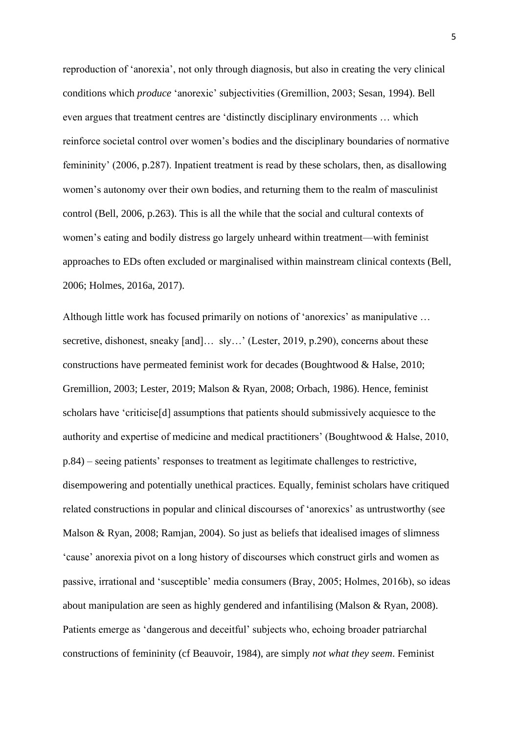reproduction of 'anorexia', not only through diagnosis, but also in creating the very clinical conditions which *produce* 'anorexic' subjectivities (Gremillion, 2003; Sesan, 1994). Bell even argues that treatment centres are 'distinctly disciplinary environments … which reinforce societal control over women's bodies and the disciplinary boundaries of normative femininity' (2006, p.287). Inpatient treatment is read by these scholars, then, as disallowing women's autonomy over their own bodies, and returning them to the realm of masculinist control (Bell, 2006, p.263). This is all the while that the social and cultural contexts of women's eating and bodily distress go largely unheard within treatment—with feminist approaches to EDs often excluded or marginalised within mainstream clinical contexts (Bell, 2006; Holmes, 2016a, 2017).

Although little work has focused primarily on notions of 'anorexics' as manipulative … secretive, dishonest, sneaky [and]… sly…' (Lester, 2019, p.290), concerns about these constructions have permeated feminist work for decades (Boughtwood & Halse, 2010; Gremillion, 2003; Lester, 2019; Malson & Ryan, 2008; Orbach, 1986). Hence, feminist scholars have 'criticise[d] assumptions that patients should submissively acquiesce to the authority and expertise of medicine and medical practitioners' (Boughtwood & Halse, 2010, p.84) – seeing patients' responses to treatment as legitimate challenges to restrictive, disempowering and potentially unethical practices. Equally, feminist scholars have critiqued related constructions in popular and clinical discourses of 'anorexics' as untrustworthy (see Malson & Ryan, 2008; Ramjan, 2004). So just as beliefs that idealised images of slimness 'cause' anorexia pivot on a long history of discourses which construct girls and women as passive, irrational and 'susceptible' media consumers (Bray, 2005; Holmes, 2016b), so ideas about manipulation are seen as highly gendered and infantilising (Malson & Ryan, 2008). Patients emerge as 'dangerous and deceitful' subjects who, echoing broader patriarchal constructions of femininity (cf Beauvoir, 1984), are simply *not what they seem*. Feminist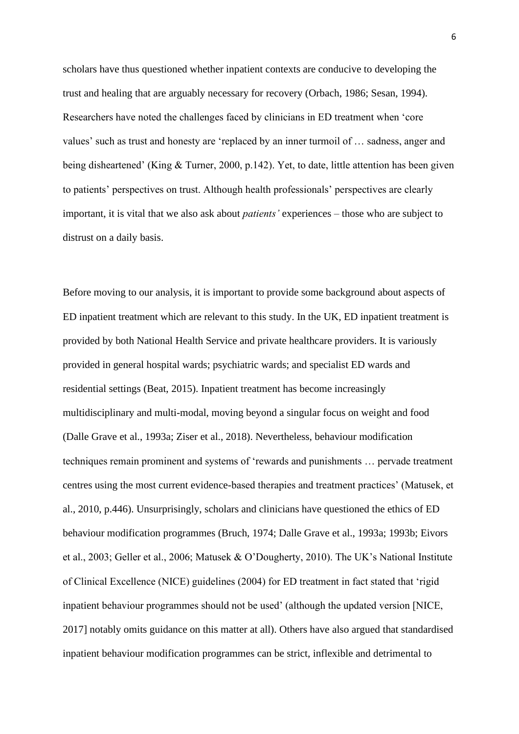scholars have thus questioned whether inpatient contexts are conducive to developing the trust and healing that are arguably necessary for recovery (Orbach, 1986; Sesan, 1994). Researchers have noted the challenges faced by clinicians in ED treatment when 'core values' such as trust and honesty are 'replaced by an inner turmoil of … sadness, anger and being disheartened' (King & Turner, 2000, p.142). Yet, to date, little attention has been given to patients' perspectives on trust. Although health professionals' perspectives are clearly important, it is vital that we also ask about *patients'* experiences – those who are subject to distrust on a daily basis.

Before moving to our analysis, it is important to provide some background about aspects of ED inpatient treatment which are relevant to this study. In the UK, ED inpatient treatment is provided by both National Health Service and private healthcare providers. It is variously provided in general hospital wards; psychiatric wards; and specialist ED wards and residential settings (Beat, 2015). Inpatient treatment has become increasingly multidisciplinary and multi-modal, moving beyond a singular focus on weight and food (Dalle Grave et al., 1993a; Ziser et al., 2018). Nevertheless, behaviour modification techniques remain prominent and systems of 'rewards and punishments … pervade treatment centres using the most current evidence-based therapies and treatment practices' (Matusek, et al., 2010, p.446). Unsurprisingly, scholars and clinicians have questioned the ethics of ED behaviour modification programmes (Bruch, 1974; Dalle Grave et al., 1993a; 1993b; Eivors et al., 2003; Geller et al., 2006; Matusek & O'Dougherty, 2010). The UK's National Institute of Clinical Excellence (NICE) guidelines (2004) for ED treatment in fact stated that 'rigid inpatient behaviour programmes should not be used' (although the updated version [NICE, 2017] notably omits guidance on this matter at all). Others have also argued that standardised inpatient behaviour modification programmes can be strict, inflexible and detrimental to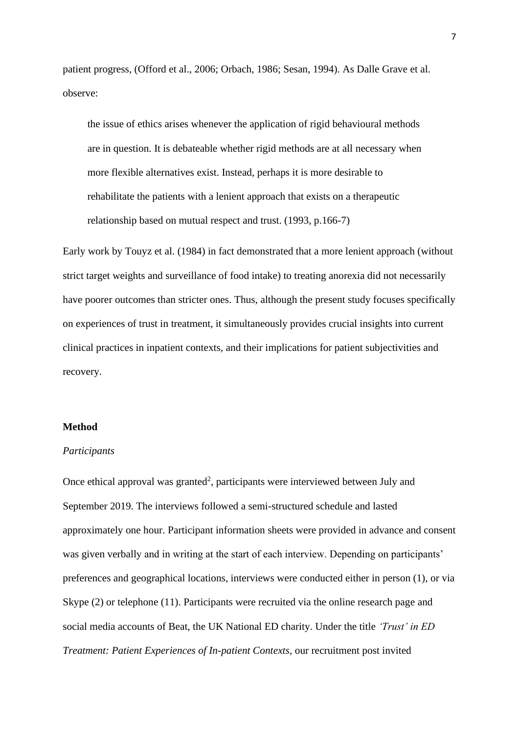patient progress, (Offord et al., 2006; Orbach, 1986; Sesan, 1994). As Dalle Grave et al. observe:

the issue of ethics arises whenever the application of rigid behavioural methods are in question. It is debateable whether rigid methods are at all necessary when more flexible alternatives exist. Instead, perhaps it is more desirable to rehabilitate the patients with a lenient approach that exists on a therapeutic relationship based on mutual respect and trust. (1993, p.166-7)

Early work by Touyz et al. (1984) in fact demonstrated that a more lenient approach (without strict target weights and surveillance of food intake) to treating anorexia did not necessarily have poorer outcomes than stricter ones. Thus, although the present study focuses specifically on experiences of trust in treatment, it simultaneously provides crucial insights into current clinical practices in inpatient contexts, and their implications for patient subjectivities and recovery.

### **Method**

#### *Participants*

Once ethical approval was granted<sup>2</sup>, participants were interviewed between July and September 2019. The interviews followed a semi-structured schedule and lasted approximately one hour. Participant information sheets were provided in advance and consent was given verbally and in writing at the start of each interview. Depending on participants' preferences and geographical locations, interviews were conducted either in person (1), or via Skype (2) or telephone (11). Participants were recruited via the online research page and social media accounts of Beat, the UK National ED charity. Under the title *'Trust' in ED Treatment: Patient Experiences of In-patient Contexts*, our recruitment post invited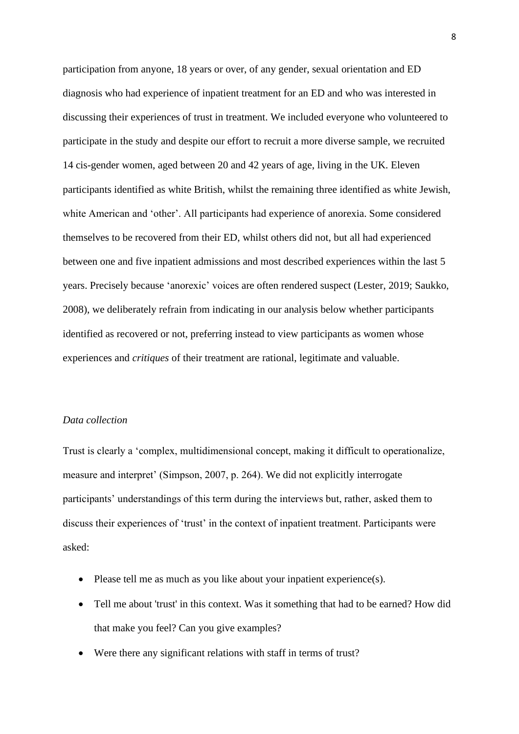participation from anyone, 18 years or over, of any gender, sexual orientation and ED diagnosis who had experience of inpatient treatment for an ED and who was interested in discussing their experiences of trust in treatment. We included everyone who volunteered to participate in the study and despite our effort to recruit a more diverse sample, we recruited 14 cis-gender women, aged between 20 and 42 years of age, living in the UK. Eleven participants identified as white British, whilst the remaining three identified as white Jewish, white American and 'other'. All participants had experience of anorexia. Some considered themselves to be recovered from their ED, whilst others did not, but all had experienced between one and five inpatient admissions and most described experiences within the last 5 years. Precisely because 'anorexic' voices are often rendered suspect (Lester, 2019; Saukko, 2008), we deliberately refrain from indicating in our analysis below whether participants identified as recovered or not, preferring instead to view participants as women whose experiences and *critiques* of their treatment are rational, legitimate and valuable.

#### *Data collection*

Trust is clearly a 'complex, multidimensional concept, making it difficult to operationalize, measure and interpret' (Simpson, 2007, p. 264). We did not explicitly interrogate participants' understandings of this term during the interviews but, rather, asked them to discuss their experiences of 'trust' in the context of inpatient treatment. Participants were asked:

- Please tell me as much as you like about your inpatient experience(s).
- Tell me about 'trust' in this context. Was it something that had to be earned? How did that make you feel? Can you give examples?
- Were there any significant relations with staff in terms of trust?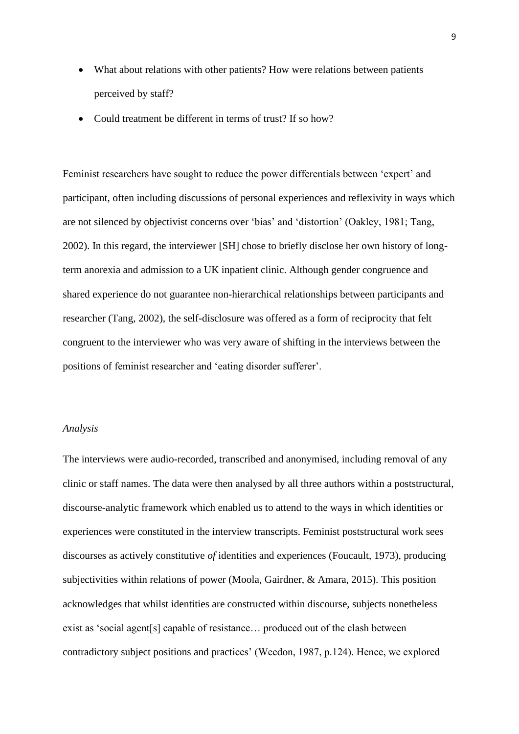- What about relations with other patients? How were relations between patients perceived by staff?
- Could treatment be different in terms of trust? If so how?

Feminist researchers have sought to reduce the power differentials between 'expert' and participant, often including discussions of personal experiences and reflexivity in ways which are not silenced by objectivist concerns over 'bias' and 'distortion' (Oakley, 1981; Tang, 2002). In this regard, the interviewer [SH] chose to briefly disclose her own history of longterm anorexia and admission to a UK inpatient clinic. Although gender congruence and shared experience do not guarantee non-hierarchical relationships between participants and researcher (Tang, 2002), the self-disclosure was offered as a form of reciprocity that felt congruent to the interviewer who was very aware of shifting in the interviews between the positions of feminist researcher and 'eating disorder sufferer'.

### *Analysis*

The interviews were audio-recorded, transcribed and anonymised, including removal of any clinic or staff names. The data were then analysed by all three authors within a poststructural, discourse-analytic framework which enabled us to attend to the ways in which identities or experiences were constituted in the interview transcripts. Feminist poststructural work sees discourses as actively constitutive *of* identities and experiences (Foucault, 1973), producing subjectivities within relations of power (Moola, Gairdner, & Amara, 2015). This position acknowledges that whilst identities are constructed within discourse, subjects nonetheless exist as 'social agent[s] capable of resistance… produced out of the clash between contradictory subject positions and practices' (Weedon, 1987, p.124). Hence, we explored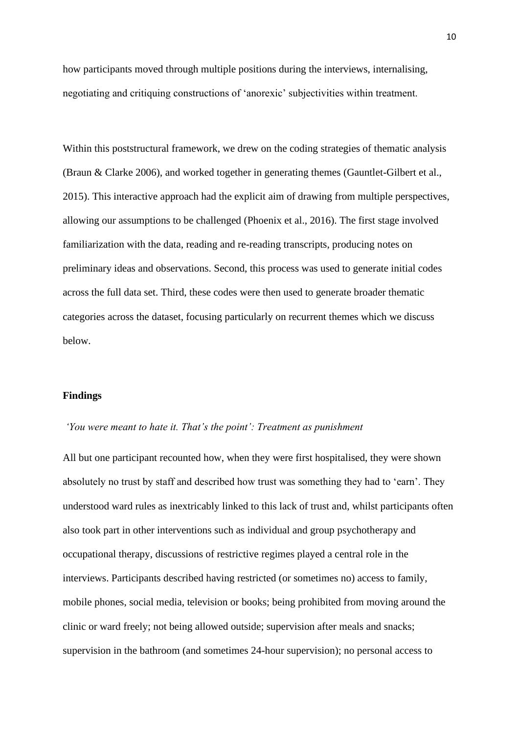how participants moved through multiple positions during the interviews, internalising, negotiating and critiquing constructions of 'anorexic' subjectivities within treatment.

Within this poststructural framework, we drew on the coding strategies of thematic analysis (Braun & Clarke 2006), and worked together in generating themes (Gauntlet-Gilbert et al., 2015). This interactive approach had the explicit aim of drawing from multiple perspectives, allowing our assumptions to be challenged (Phoenix et al., 2016). The first stage involved familiarization with the data, reading and re-reading transcripts, producing notes on preliminary ideas and observations. Second, this process was used to generate initial codes across the full data set. Third, these codes were then used to generate broader thematic categories across the dataset, focusing particularly on recurrent themes which we discuss below.

# **Findings**

#### *'You were meant to hate it. That's the point': Treatment as punishment*

All but one participant recounted how, when they were first hospitalised, they were shown absolutely no trust by staff and described how trust was something they had to 'earn'. They understood ward rules as inextricably linked to this lack of trust and, whilst participants often also took part in other interventions such as individual and group psychotherapy and occupational therapy, discussions of restrictive regimes played a central role in the interviews. Participants described having restricted (or sometimes no) access to family, mobile phones, social media, television or books; being prohibited from moving around the clinic or ward freely; not being allowed outside; supervision after meals and snacks; supervision in the bathroom (and sometimes 24-hour supervision); no personal access to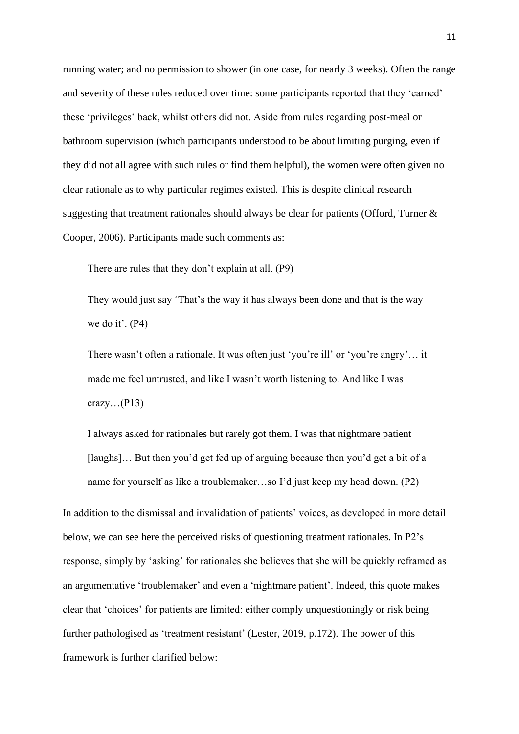running water; and no permission to shower (in one case, for nearly 3 weeks). Often the range and severity of these rules reduced over time: some participants reported that they 'earned' these 'privileges' back, whilst others did not. Aside from rules regarding post-meal or bathroom supervision (which participants understood to be about limiting purging, even if they did not all agree with such rules or find them helpful), the women were often given no clear rationale as to why particular regimes existed. This is despite clinical research suggesting that treatment rationales should always be clear for patients (Offord, Turner & Cooper, 2006). Participants made such comments as:

There are rules that they don't explain at all. (P9)

They would just say 'That's the way it has always been done and that is the way we do it'. (P4)

There wasn't often a rationale. It was often just 'you're ill' or 'you're angry'… it made me feel untrusted, and like I wasn't worth listening to. And like I was crazy... $(P13)$ 

I always asked for rationales but rarely got them. I was that nightmare patient [laughs]... But then you'd get fed up of arguing because then you'd get a bit of a name for yourself as like a troublemaker…so I'd just keep my head down. (P2)

In addition to the dismissal and invalidation of patients' voices, as developed in more detail below, we can see here the perceived risks of questioning treatment rationales. In P2's response, simply by 'asking' for rationales she believes that she will be quickly reframed as an argumentative 'troublemaker' and even a 'nightmare patient'. Indeed, this quote makes clear that 'choices' for patients are limited: either comply unquestioningly or risk being further pathologised as 'treatment resistant' (Lester, 2019, p.172). The power of this framework is further clarified below: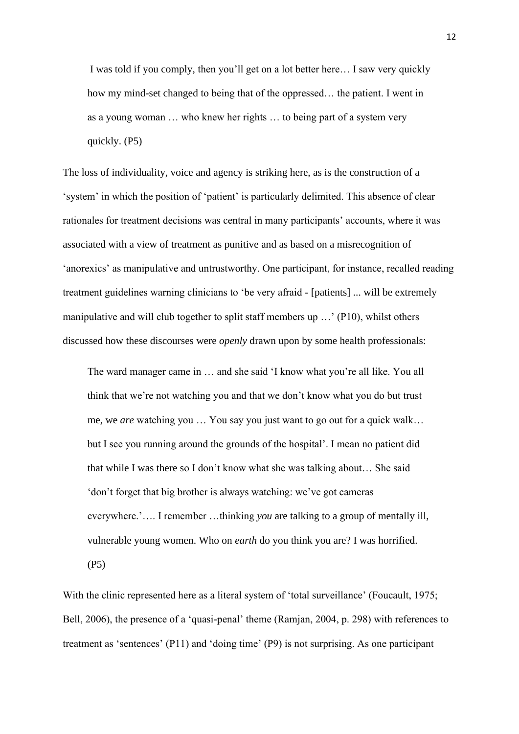I was told if you comply, then you'll get on a lot better here… I saw very quickly how my mind-set changed to being that of the oppressed… the patient. I went in as a young woman … who knew her rights … to being part of a system very quickly. (P5)

The loss of individuality, voice and agency is striking here, as is the construction of a 'system' in which the position of 'patient' is particularly delimited. This absence of clear rationales for treatment decisions was central in many participants' accounts, where it was associated with a view of treatment as punitive and as based on a misrecognition of 'anorexics' as manipulative and untrustworthy. One participant, for instance, recalled reading treatment guidelines warning clinicians to 'be very afraid - [patients] ... will be extremely manipulative and will club together to split staff members up …' (P10), whilst others discussed how these discourses were *openly* drawn upon by some health professionals:

The ward manager came in … and she said 'I know what you're all like. You all think that we're not watching you and that we don't know what you do but trust me, we *are* watching you … You say you just want to go out for a quick walk… but I see you running around the grounds of the hospital'. I mean no patient did that while I was there so I don't know what she was talking about… She said 'don't forget that big brother is always watching: we've got cameras everywhere.'…. I remember …thinking *you* are talking to a group of mentally ill, vulnerable young women. Who on *earth* do you think you are? I was horrified. (P5)

With the clinic represented here as a literal system of 'total surveillance' (Foucault, 1975; Bell, 2006), the presence of a 'quasi-penal' theme (Ramjan, 2004, p. 298) with references to treatment as 'sentences' (P11) and 'doing time' (P9) is not surprising. As one participant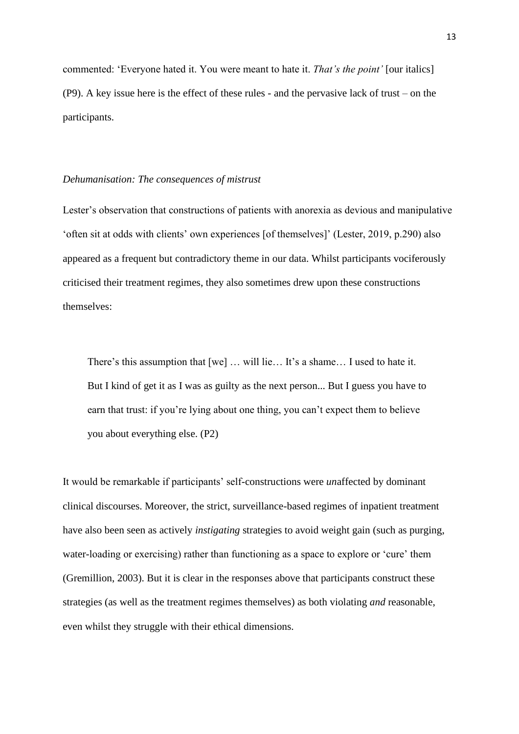commented: 'Everyone hated it. You were meant to hate it. *That's the point'* [our italics] (P9). A key issue here is the effect of these rules - and the pervasive lack of trust – on the participants.

#### *Dehumanisation: The consequences of mistrust*

Lester's observation that constructions of patients with anorexia as devious and manipulative 'often sit at odds with clients' own experiences [of themselves]' (Lester, 2019, p.290) also appeared as a frequent but contradictory theme in our data. Whilst participants vociferously criticised their treatment regimes, they also sometimes drew upon these constructions themselves:

There's this assumption that [we] … will lie… It's a shame… I used to hate it. But I kind of get it as I was as guilty as the next person... But I guess you have to earn that trust: if you're lying about one thing, you can't expect them to believe you about everything else. (P2)

It would be remarkable if participants' self-constructions were *un*affected by dominant clinical discourses. Moreover, the strict, surveillance-based regimes of inpatient treatment have also been seen as actively *instigating* strategies to avoid weight gain (such as purging, water-loading or exercising) rather than functioning as a space to explore or 'cure' them (Gremillion, 2003). But it is clear in the responses above that participants construct these strategies (as well as the treatment regimes themselves) as both violating *and* reasonable, even whilst they struggle with their ethical dimensions.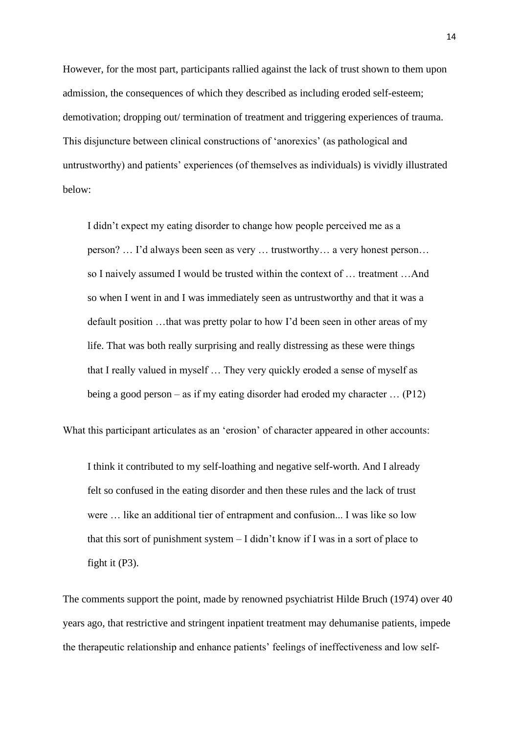However, for the most part, participants rallied against the lack of trust shown to them upon admission, the consequences of which they described as including eroded self-esteem; demotivation; dropping out/ termination of treatment and triggering experiences of trauma. This disjuncture between clinical constructions of 'anorexics' (as pathological and untrustworthy) and patients' experiences (of themselves as individuals) is vividly illustrated below:

I didn't expect my eating disorder to change how people perceived me as a person? … I'd always been seen as very … trustworthy… a very honest person… so I naively assumed I would be trusted within the context of … treatment …And so when I went in and I was immediately seen as untrustworthy and that it was a default position …that was pretty polar to how I'd been seen in other areas of my life. That was both really surprising and really distressing as these were things that I really valued in myself … They very quickly eroded a sense of myself as being a good person – as if my eating disorder had eroded my character … (P12)

What this participant articulates as an 'erosion' of character appeared in other accounts:

I think it contributed to my self-loathing and negative self-worth. And I already felt so confused in the eating disorder and then these rules and the lack of trust were … like an additional tier of entrapment and confusion... I was like so low that this sort of punishment system – I didn't know if I was in a sort of place to fight it (P3).

The comments support the point, made by renowned psychiatrist Hilde Bruch (1974) over 40 years ago, that restrictive and stringent inpatient treatment may dehumanise patients, impede the therapeutic relationship and enhance patients' feelings of ineffectiveness and low self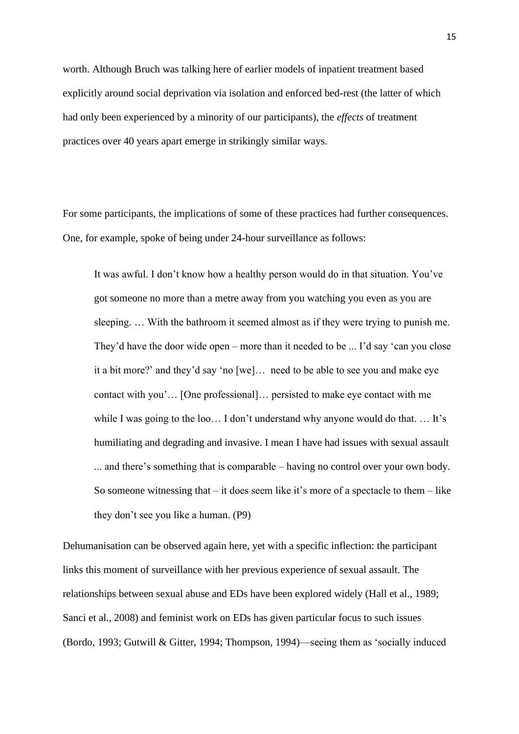worth. Although Bruch was talking here of earlier models of inpatient treatment based explicitly around social deprivation via isolation and enforced bed-rest (the latter of which had only been experienced by a minority of our participants), the *effects* of treatment practices over 40 years apart emerge in strikingly similar ways.

For some participants, the implications of some of these practices had further consequences. One, for example, spoke of being under 24-hour surveillance as follows:

It was awful. I don't know how a healthy person would do in that situation. You've got someone no more than a metre away from you watching you even as you are sleeping. … With the bathroom it seemed almost as if they were trying to punish me. They'd have the door wide open – more than it needed to be ... I'd say 'can you close it a bit more?' and they'd say 'no [we]… need to be able to see you and make eye contact with you'… [One professional]… persisted to make eye contact with me while I was going to the loo... I don't understand why anyone would do that.... It's humiliating and degrading and invasive. I mean I have had issues with sexual assault ... and there's something that is comparable – having no control over your own body. So someone witnessing that  $-$  it does seem like it's more of a spectacle to them  $-$  like they don't see you like a human. (P9)

Dehumanisation can be observed again here, yet with a specific inflection: the participant links this moment of surveillance with her previous experience of sexual assault. The relationships between sexual abuse and EDs have been explored widely (Hall et al., 1989; Sanci et al., 2008) and feminist work on EDs has given particular focus to such issues (Bordo, 1993; Gutwill & Gitter, 1994; Thompson, 1994)—seeing them as 'socially induced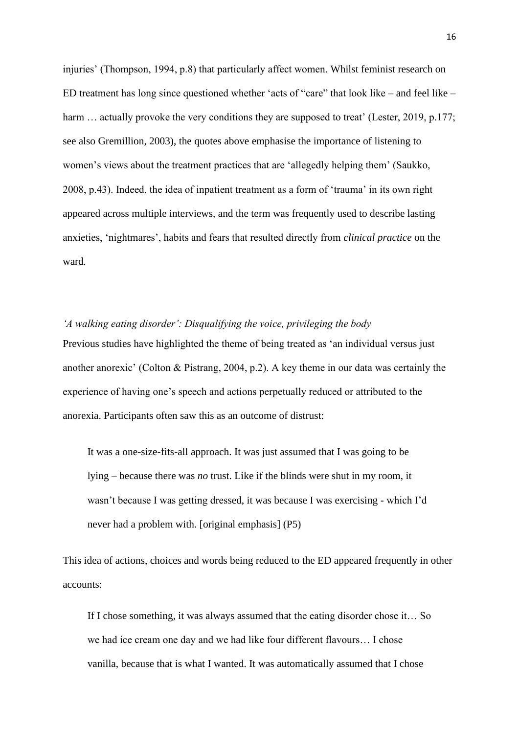injuries' (Thompson, 1994, p.8) that particularly affect women. Whilst feminist research on ED treatment has long since questioned whether 'acts of "care" that look like – and feel like – harm ... actually provoke the very conditions they are supposed to treat' (Lester, 2019, p.177; see also Gremillion, 2003), the quotes above emphasise the importance of listening to women's views about the treatment practices that are 'allegedly helping them' (Saukko, 2008, p.43). Indeed, the idea of inpatient treatment as a form of 'trauma' in its own right appeared across multiple interviews, and the term was frequently used to describe lasting anxieties, 'nightmares', habits and fears that resulted directly from *clinical practice* on the ward*.*

*'A walking eating disorder': Disqualifying the voice, privileging the body* Previous studies have highlighted the theme of being treated as 'an individual versus just another anorexic' (Colton & Pistrang, 2004, p.2). A key theme in our data was certainly the experience of having one's speech and actions perpetually reduced or attributed to the anorexia. Participants often saw this as an outcome of distrust:

It was a one-size-fits-all approach. It was just assumed that I was going to be lying – because there was *no* trust. Like if the blinds were shut in my room, it wasn't because I was getting dressed, it was because I was exercising - which I'd never had a problem with. [original emphasis] (P5)

This idea of actions, choices and words being reduced to the ED appeared frequently in other accounts:

If I chose something, it was always assumed that the eating disorder chose it… So we had ice cream one day and we had like four different flavours… I chose vanilla, because that is what I wanted. It was automatically assumed that I chose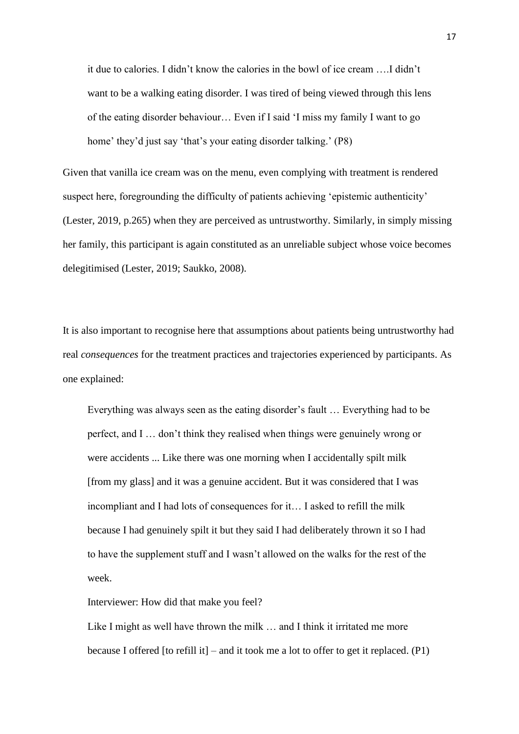it due to calories. I didn't know the calories in the bowl of ice cream ….I didn't want to be a walking eating disorder. I was tired of being viewed through this lens of the eating disorder behaviour… Even if I said 'I miss my family I want to go home' they'd just say 'that's your eating disorder talking.' (P8)

Given that vanilla ice cream was on the menu, even complying with treatment is rendered suspect here, foregrounding the difficulty of patients achieving 'epistemic authenticity' (Lester, 2019, p.265) when they are perceived as untrustworthy. Similarly, in simply missing her family, this participant is again constituted as an unreliable subject whose voice becomes delegitimised (Lester, 2019; Saukko, 2008).

It is also important to recognise here that assumptions about patients being untrustworthy had real *consequences* for the treatment practices and trajectories experienced by participants. As one explained:

Everything was always seen as the eating disorder's fault … Everything had to be perfect, and I … don't think they realised when things were genuinely wrong or were accidents ... Like there was one morning when I accidentally spilt milk [from my glass] and it was a genuine accident. But it was considered that I was incompliant and I had lots of consequences for it… I asked to refill the milk because I had genuinely spilt it but they said I had deliberately thrown it so I had to have the supplement stuff and I wasn't allowed on the walks for the rest of the week.

Interviewer: How did that make you feel?

Like I might as well have thrown the milk ... and I think it irritated me more because I offered [to refill it] – and it took me a lot to offer to get it replaced.  $(P1)$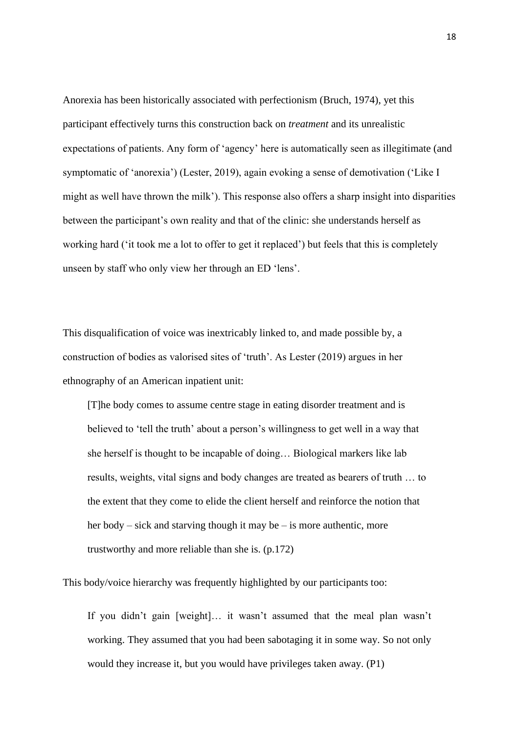Anorexia has been historically associated with perfectionism (Bruch, 1974), yet this participant effectively turns this construction back on *treatment* and its unrealistic expectations of patients. Any form of 'agency' here is automatically seen as illegitimate (and symptomatic of 'anorexia') (Lester, 2019), again evoking a sense of demotivation ('Like I might as well have thrown the milk'). This response also offers a sharp insight into disparities between the participant's own reality and that of the clinic: she understands herself as working hard ('it took me a lot to offer to get it replaced') but feels that this is completely unseen by staff who only view her through an ED 'lens'.

This disqualification of voice was inextricably linked to, and made possible by, a construction of bodies as valorised sites of 'truth'. As Lester (2019) argues in her ethnography of an American inpatient unit:

[T]he body comes to assume centre stage in eating disorder treatment and is believed to 'tell the truth' about a person's willingness to get well in a way that she herself is thought to be incapable of doing… Biological markers like lab results, weights, vital signs and body changes are treated as bearers of truth … to the extent that they come to elide the client herself and reinforce the notion that her body – sick and starving though it may be – is more authentic, more trustworthy and more reliable than she is. (p.172)

This body/voice hierarchy was frequently highlighted by our participants too:

If you didn't gain [weight]… it wasn't assumed that the meal plan wasn't working. They assumed that you had been sabotaging it in some way. So not only would they increase it, but you would have privileges taken away. (P1)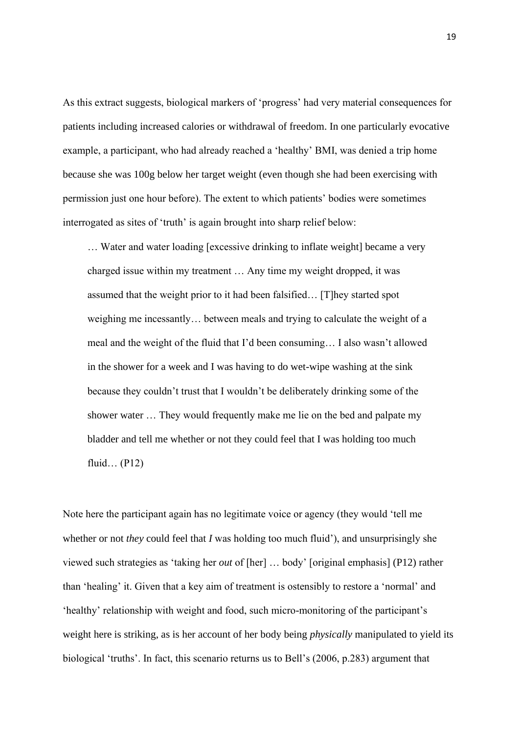As this extract suggests, biological markers of 'progress' had very material consequences for patients including increased calories or withdrawal of freedom. In one particularly evocative example, a participant, who had already reached a 'healthy' BMI, was denied a trip home because she was 100g below her target weight (even though she had been exercising with permission just one hour before). The extent to which patients' bodies were sometimes interrogated as sites of 'truth' is again brought into sharp relief below:

… Water and water loading [excessive drinking to inflate weight] became a very charged issue within my treatment … Any time my weight dropped, it was assumed that the weight prior to it had been falsified… [T]hey started spot weighing me incessantly… between meals and trying to calculate the weight of a meal and the weight of the fluid that I'd been consuming… I also wasn't allowed in the shower for a week and I was having to do wet-wipe washing at the sink because they couldn't trust that I wouldn't be deliberately drinking some of the shower water … They would frequently make me lie on the bed and palpate my bladder and tell me whether or not they could feel that I was holding too much fluid… (P12)

Note here the participant again has no legitimate voice or agency (they would 'tell me whether or not *they* could feel that *I* was holding too much fluid'), and unsurprisingly she viewed such strategies as 'taking her *out* of [her] … body' [original emphasis] (P12) rather than 'healing' it. Given that a key aim of treatment is ostensibly to restore a 'normal' and 'healthy' relationship with weight and food, such micro-monitoring of the participant's weight here is striking, as is her account of her body being *physically* manipulated to yield its biological 'truths'. In fact, this scenario returns us to Bell's (2006, p.283) argument that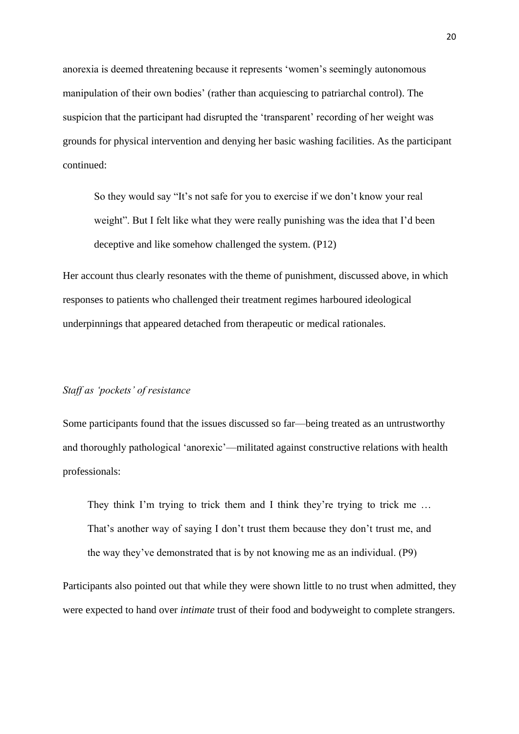anorexia is deemed threatening because it represents 'women's seemingly autonomous manipulation of their own bodies' (rather than acquiescing to patriarchal control). The suspicion that the participant had disrupted the 'transparent' recording of her weight was grounds for physical intervention and denying her basic washing facilities. As the participant continued:

So they would say "It's not safe for you to exercise if we don't know your real weight". But I felt like what they were really punishing was the idea that I'd been deceptive and like somehow challenged the system. (P12)

Her account thus clearly resonates with the theme of punishment, discussed above, in which responses to patients who challenged their treatment regimes harboured ideological underpinnings that appeared detached from therapeutic or medical rationales.

#### *Staff as 'pockets' of resistance*

Some participants found that the issues discussed so far—being treated as an untrustworthy and thoroughly pathological 'anorexic'—militated against constructive relations with health professionals:

They think I'm trying to trick them and I think they're trying to trick me ... That's another way of saying I don't trust them because they don't trust me, and the way they've demonstrated that is by not knowing me as an individual. (P9)

Participants also pointed out that while they were shown little to no trust when admitted, they were expected to hand over *intimate* trust of their food and bodyweight to complete strangers.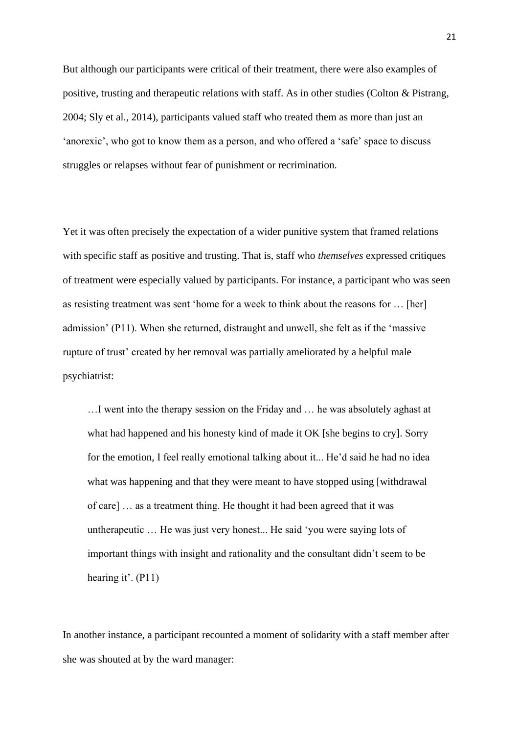But although our participants were critical of their treatment, there were also examples of positive, trusting and therapeutic relations with staff. As in other studies (Colton & Pistrang, 2004; Sly et al., 2014), participants valued staff who treated them as more than just an 'anorexic', who got to know them as a person, and who offered a 'safe' space to discuss struggles or relapses without fear of punishment or recrimination.

Yet it was often precisely the expectation of a wider punitive system that framed relations with specific staff as positive and trusting. That is, staff who *themselves* expressed critiques of treatment were especially valued by participants. For instance, a participant who was seen as resisting treatment was sent 'home for a week to think about the reasons for … [her] admission' (P11). When she returned, distraught and unwell, she felt as if the 'massive rupture of trust' created by her removal was partially ameliorated by a helpful male psychiatrist:

…I went into the therapy session on the Friday and … he was absolutely aghast at what had happened and his honesty kind of made it OK [she begins to cry]. Sorry for the emotion, I feel really emotional talking about it... He'd said he had no idea what was happening and that they were meant to have stopped using [withdrawal of care] … as a treatment thing. He thought it had been agreed that it was untherapeutic … He was just very honest... He said 'you were saying lots of important things with insight and rationality and the consultant didn't seem to be hearing it'.  $(P11)$ 

In another instance, a participant recounted a moment of solidarity with a staff member after she was shouted at by the ward manager: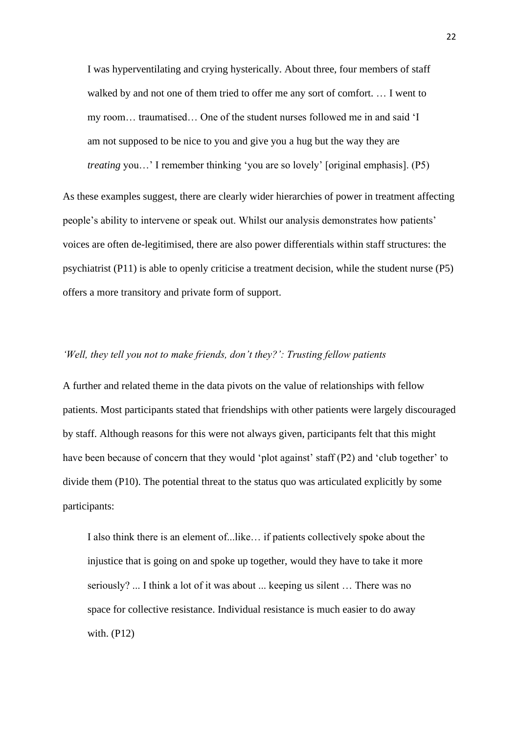I was hyperventilating and crying hysterically. About three, four members of staff walked by and not one of them tried to offer me any sort of comfort. … I went to my room… traumatised… One of the student nurses followed me in and said 'I am not supposed to be nice to you and give you a hug but the way they are *treating* you…' I remember thinking 'you are so lovely' [original emphasis]. (P5)

As these examples suggest, there are clearly wider hierarchies of power in treatment affecting people's ability to intervene or speak out. Whilst our analysis demonstrates how patients' voices are often de-legitimised, there are also power differentials within staff structures: the psychiatrist (P11) is able to openly criticise a treatment decision, while the student nurse (P5) offers a more transitory and private form of support.

### *'Well, they tell you not to make friends, don't they?': Trusting fellow patients*

A further and related theme in the data pivots on the value of relationships with fellow patients. Most participants stated that friendships with other patients were largely discouraged by staff. Although reasons for this were not always given, participants felt that this might have been because of concern that they would 'plot against' staff (P2) and 'club together' to divide them (P10). The potential threat to the status quo was articulated explicitly by some participants:

I also think there is an element of...like… if patients collectively spoke about the injustice that is going on and spoke up together, would they have to take it more seriously? ... I think a lot of it was about ... keeping us silent … There was no space for collective resistance. Individual resistance is much easier to do away with. (P12)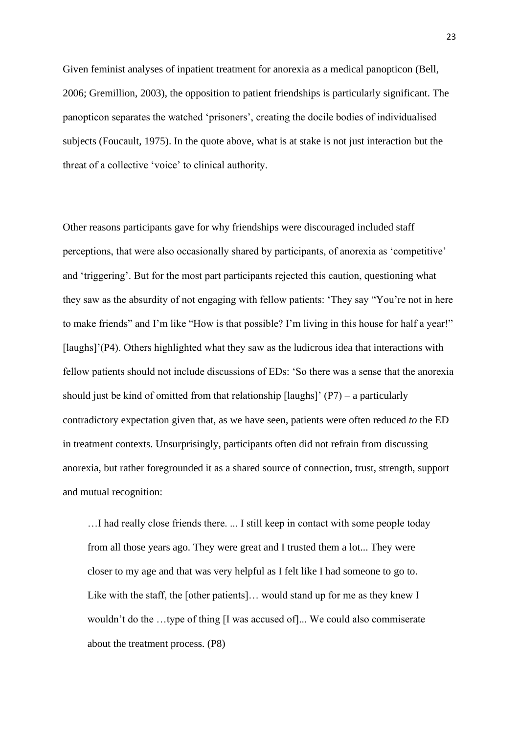Given feminist analyses of inpatient treatment for anorexia as a medical panopticon (Bell, 2006; Gremillion, 2003), the opposition to patient friendships is particularly significant. The panopticon separates the watched 'prisoners', creating the docile bodies of individualised subjects (Foucault, 1975). In the quote above, what is at stake is not just interaction but the threat of a collective 'voice' to clinical authority.

Other reasons participants gave for why friendships were discouraged included staff perceptions, that were also occasionally shared by participants, of anorexia as 'competitive' and 'triggering'. But for the most part participants rejected this caution, questioning what they saw as the absurdity of not engaging with fellow patients: 'They say "You're not in here to make friends" and I'm like "How is that possible? I'm living in this house for half a year!" [laughs]'(P4). Others highlighted what they saw as the ludicrous idea that interactions with fellow patients should not include discussions of EDs: 'So there was a sense that the anorexia should just be kind of omitted from that relationship  $\lceil \text{laughs} \rceil$  (P7) – a particularly contradictory expectation given that, as we have seen, patients were often reduced *to* the ED in treatment contexts. Unsurprisingly, participants often did not refrain from discussing anorexia, but rather foregrounded it as a shared source of connection, trust, strength, support and mutual recognition:

…I had really close friends there. ... I still keep in contact with some people today from all those years ago. They were great and I trusted them a lot... They were closer to my age and that was very helpful as I felt like I had someone to go to. Like with the staff, the [other patients]… would stand up for me as they knew I wouldn't do the …type of thing [I was accused of]... We could also commiserate about the treatment process. (P8)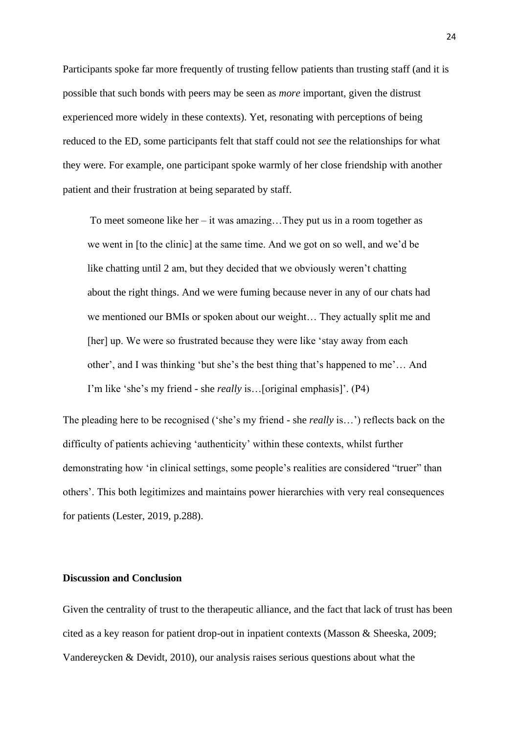Participants spoke far more frequently of trusting fellow patients than trusting staff (and it is possible that such bonds with peers may be seen as *more* important, given the distrust experienced more widely in these contexts). Yet, resonating with perceptions of being reduced to the ED, some participants felt that staff could not *see* the relationships for what they were. For example, one participant spoke warmly of her close friendship with another patient and their frustration at being separated by staff.

To meet someone like her – it was amazing... They put us in a room together as we went in [to the clinic] at the same time. And we got on so well, and we'd be like chatting until 2 am, but they decided that we obviously weren't chatting about the right things. And we were fuming because never in any of our chats had we mentioned our BMIs or spoken about our weight… They actually split me and [her] up. We were so frustrated because they were like 'stay away from each other', and I was thinking 'but she's the best thing that's happened to me'… And I'm like 'she's my friend - she *really* is…[original emphasis]'. (P4)

The pleading here to be recognised ('she's my friend - she *really* is…') reflects back on the difficulty of patients achieving 'authenticity' within these contexts, whilst further demonstrating how 'in clinical settings, some people's realities are considered "truer" than others'. This both legitimizes and maintains power hierarchies with very real consequences for patients (Lester, 2019, p.288).

### **Discussion and Conclusion**

Given the centrality of trust to the therapeutic alliance, and the fact that lack of trust has been cited as a key reason for patient drop-out in inpatient contexts (Masson & Sheeska, 2009; Vandereycken & Devidt, 2010), our analysis raises serious questions about what the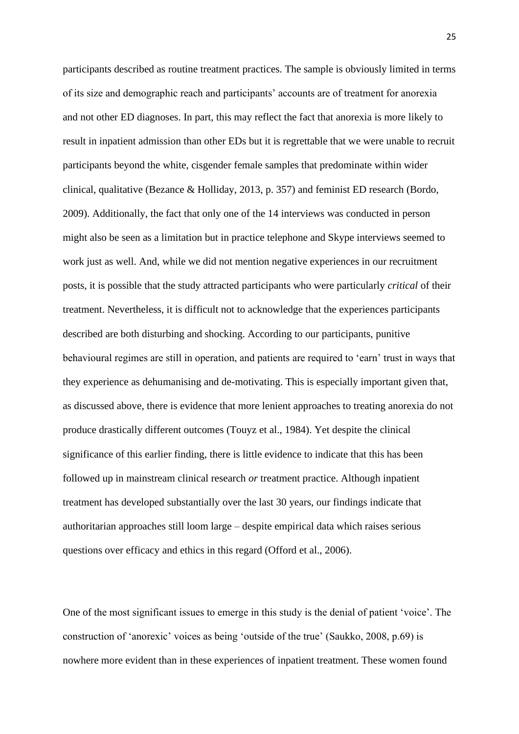participants described as routine treatment practices. The sample is obviously limited in terms of its size and demographic reach and participants' accounts are of treatment for anorexia and not other ED diagnoses. In part, this may reflect the fact that anorexia is more likely to result in inpatient admission than other EDs but it is regrettable that we were unable to recruit participants beyond the white, cisgender female samples that predominate within wider clinical, qualitative (Bezance & Holliday, 2013, p. 357) and feminist ED research (Bordo, 2009). Additionally, the fact that only one of the 14 interviews was conducted in person might also be seen as a limitation but in practice telephone and Skype interviews seemed to work just as well. And, while we did not mention negative experiences in our recruitment posts, it is possible that the study attracted participants who were particularly *critical* of their treatment. Nevertheless, it is difficult not to acknowledge that the experiences participants described are both disturbing and shocking. According to our participants, punitive behavioural regimes are still in operation, and patients are required to 'earn' trust in ways that they experience as dehumanising and de-motivating. This is especially important given that, as discussed above, there is evidence that more lenient approaches to treating anorexia do not produce drastically different outcomes (Touyz et al., 1984). Yet despite the clinical significance of this earlier finding, there is little evidence to indicate that this has been followed up in mainstream clinical research *or* treatment practice. Although inpatient treatment has developed substantially over the last 30 years, our findings indicate that authoritarian approaches still loom large – despite empirical data which raises serious questions over efficacy and ethics in this regard (Offord et al., 2006).

One of the most significant issues to emerge in this study is the denial of patient 'voice'. The construction of 'anorexic' voices as being 'outside of the true' (Saukko, 2008, p.69) is nowhere more evident than in these experiences of inpatient treatment. These women found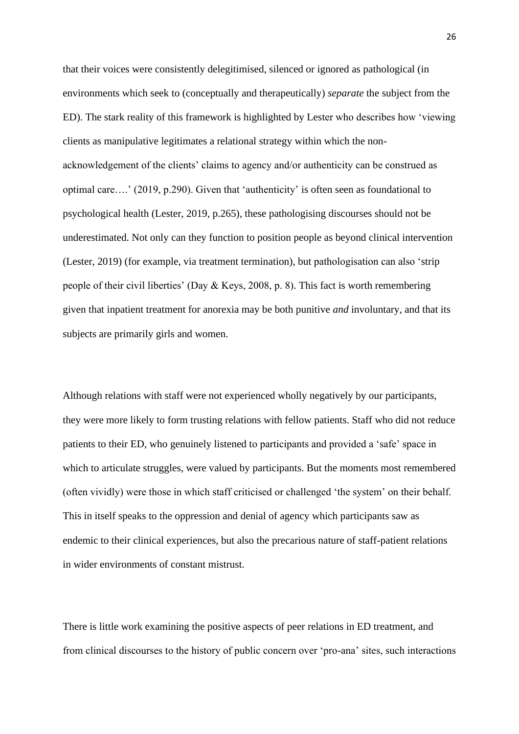that their voices were consistently delegitimised, silenced or ignored as pathological (in environments which seek to (conceptually and therapeutically) *separate* the subject from the ED). The stark reality of this framework is highlighted by Lester who describes how 'viewing clients as manipulative legitimates a relational strategy within which the nonacknowledgement of the clients' claims to agency and/or authenticity can be construed as optimal care….' (2019, p.290). Given that 'authenticity' is often seen as foundational to psychological health (Lester, 2019, p.265), these pathologising discourses should not be underestimated. Not only can they function to position people as beyond clinical intervention (Lester, 2019) (for example, via treatment termination), but pathologisation can also 'strip people of their civil liberties' (Day & Keys, 2008, p. 8). This fact is worth remembering given that inpatient treatment for anorexia may be both punitive *and* involuntary, and that its subjects are primarily girls and women.

Although relations with staff were not experienced wholly negatively by our participants, they were more likely to form trusting relations with fellow patients. Staff who did not reduce patients to their ED, who genuinely listened to participants and provided a 'safe' space in which to articulate struggles, were valued by participants. But the moments most remembered (often vividly) were those in which staff criticised or challenged 'the system' on their behalf. This in itself speaks to the oppression and denial of agency which participants saw as endemic to their clinical experiences, but also the precarious nature of staff-patient relations in wider environments of constant mistrust.

There is little work examining the positive aspects of peer relations in ED treatment, and from clinical discourses to the history of public concern over 'pro-ana' sites, such interactions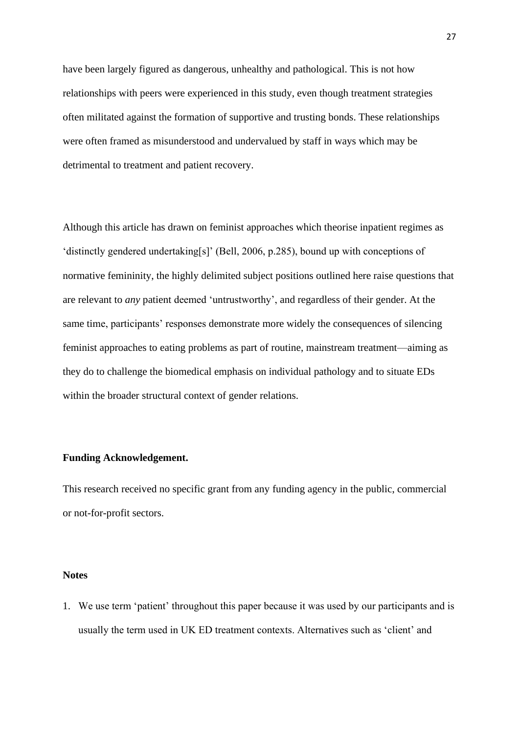have been largely figured as dangerous, unhealthy and pathological. This is not how relationships with peers were experienced in this study, even though treatment strategies often militated against the formation of supportive and trusting bonds. These relationships were often framed as misunderstood and undervalued by staff in ways which may be detrimental to treatment and patient recovery.

Although this article has drawn on feminist approaches which theorise inpatient regimes as 'distinctly gendered undertaking[s]' (Bell, 2006, p.285), bound up with conceptions of normative femininity, the highly delimited subject positions outlined here raise questions that are relevant to *any* patient deemed 'untrustworthy', and regardless of their gender. At the same time, participants' responses demonstrate more widely the consequences of silencing feminist approaches to eating problems as part of routine, mainstream treatment—aiming as they do to challenge the biomedical emphasis on individual pathology and to situate EDs within the broader structural context of gender relations.

### **Funding Acknowledgement.**

This research received no specific grant from any funding agency in the public, commercial or not-for-profit sectors.

#### **Notes**

1. We use term 'patient' throughout this paper because it was used by our participants and is usually the term used in UK ED treatment contexts. Alternatives such as 'client' and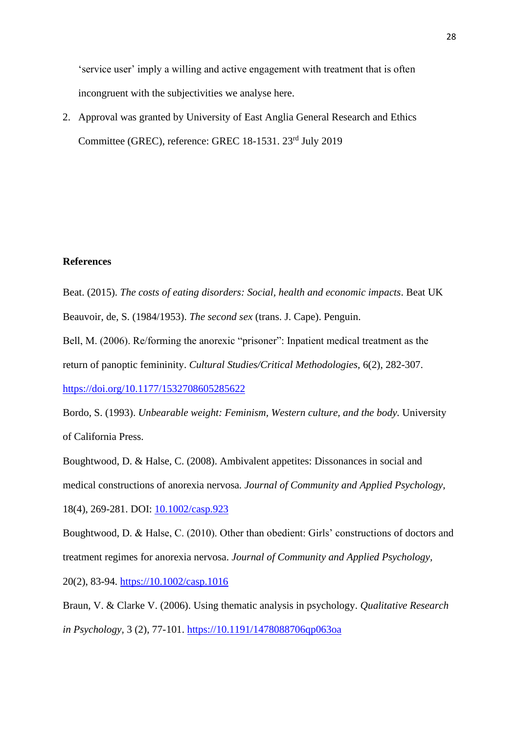'service user' imply a willing and active engagement with treatment that is often incongruent with the subjectivities we analyse here.

2. Approval was granted by University of East Anglia General Research and Ethics Committee (GREC), reference: GREC 18-1531. 23rd July 2019

### **References**

Beat. (2015). *The costs of eating disorders: Social, health and economic impacts*. Beat UK Beauvoir, de, S. (1984/1953). *The second sex* (trans. J. Cape). Penguin.

Bell, M. (2006). Re/forming the anorexic "prisoner": Inpatient medical treatment as the return of panoptic femininity. *Cultural Studies/Critical Methodologies,* 6(2), 282-307.

[https://doi.org/10.1177/1532708605285622](https://doi.org/10.1177%2F1532708605285622)

Bordo, S. (1993). *Unbearable weight: Feminism, Western culture, and the body.* University of California Press.

Boughtwood, D. & Halse, C. (2008). Ambivalent appetites: Dissonances in social and medical constructions of anorexia nervosa. *Journal of Community and Applied Psychology,*  18(4), 269-281. DOI: [10.1002/casp.923](https://www.researchgate.net/deref/http%3A%2F%2Fdx.doi.org%2F10.1002%2Fcasp.923?_sg%5B0%5D=h5B6vH8r_eIh_Kmoaj1IG3wIqWEiGM7E478dt-JfGS45gNXoe-v_pN21iRKkD1mkrcaT501r8N12qWhtygKm0TvYHQ.WiOKeY1HHBuKoJsrpQVGafhGP78pOPIo5a9kxvTAwkC16jGxM8Ci46ZElyjXqI5G2dlI6jzx9jBC2rVJQ-KiiA)

Boughtwood, D. & Halse, C. (2010). Other than obedient: Girls' constructions of doctors and treatment regimes for anorexia nervosa. *Journal of Community and Applied Psychology,* 

20(2), 83-94. [https://10.1002/casp.1016](https://10.0.3.234/casp.1016)

Braun, V. & Clarke V. (2006). Using thematic analysis in psychology. *Qualitative Research in Psychology,* 3 (2), 77-101. [https://10.1191/1478088706qp063oa](https://10.0.4.167/1478088706qp063oa)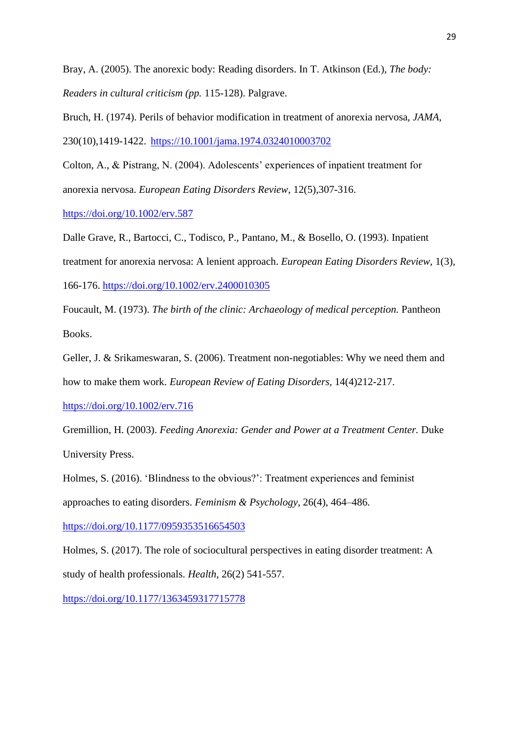Bray, A. (2005). The anorexic body: Reading disorders. In T. Atkinson (Ed.), *The body: Readers in cultural criticism (pp.* 115-128). Palgrave.

Bruch, H. (1974). Perils of behavior modification in treatment of anorexia nervosa, *JAMA,*  230(10),1419-1422. [https://10.1001/jama.1974.0324010003702](https://10.0.3.233/jama.1974.0324010003702)

Colton, A., & Pistrang, N. (2004). Adolescents' experiences of inpatient treatment for anorexia nervosa. *European Eating Disorders Review*, 12(5),307-316.

<https://doi.org/10.1002/erv.587>

Dalle Grave, R., Bartocci, C., Todisco, P., Pantano, M., & Bosello, O. (1993). Inpatient treatment for anorexia nervosa: A lenient approach. *European Eating Disorders Review,* 1(3), 166-176.<https://doi.org/10.1002/erv.2400010305>

Foucault, M. (1973). *The birth of the clinic: Archaeology of medical perception.* Pantheon Books.

Geller, J. & [Srikameswaran,](https://www.researchgate.net/profile/Suja_Srikameswaran) S. (2006). Treatment non-negotiables: Why we need them and how to make them work. *European Review of Eating Disorders,* 14(4)212-217.

<https://doi.org/10.1002/erv.716>

Gremillion, H. (2003). *Feeding Anorexia: Gender and Power at a Treatment Center.* Duke University Press.

Holmes, S. (2016). 'Blindness to the obvious?': Treatment experiences and feminist approaches to eating disorders. *Feminism & Psychology*, 26(4), 464–486. [https://doi.org/10.1177/0959353516654503](https://doi.org/10.1177%2F0959353516654503)

Holmes, S. (2017). The role of sociocultural perspectives in eating disorder treatment: A study of health professionals. *Health,* 26(2) 541-557.

[https://doi.org/10.1177/1363459317715778](https://doi.org/10.1177%2F1363459317715778)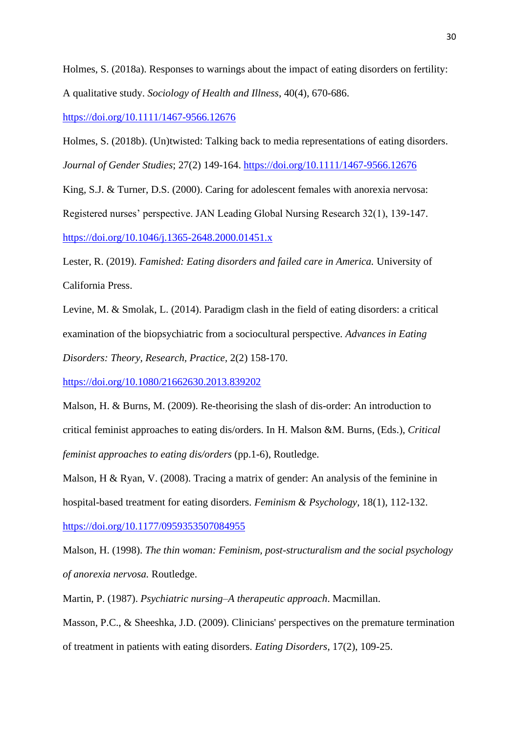Holmes, S. (2018a). Responses to warnings about the impact of eating disorders on fertility: A qualitative study. *Sociology of Health and Illness*, 40(4), 670-686.

<https://doi.org/10.1111/1467-9566.12676>

Holmes, S. (2018b). (Un)twisted: Talking back to media representations of eating disorders. *Journal of Gender Studies*; 27(2) 149-164.<https://doi.org/10.1111/1467-9566.12676>

King, S.J. & Turner, D.S. (2000). Caring for adolescent females with anorexia nervosa: Registered nurses' perspective. JAN Leading Global Nursing Research 32(1), 139-147. <https://doi.org/10.1046/j.1365-2648.2000.01451.x>

Lester, R. (2019). *Famished: Eating disorders and failed care in America.* University of California Press.

Levine, M. & Smolak, L. (2014). Paradigm clash in the field of eating disorders: a critical examination of the biopsychiatric from a sociocultural perspective. *Advances in Eating Disorders: Theory, Research, Practice,* 2(2) 158-170.

<https://doi.org/10.1080/21662630.2013.839202>

Malson, H. & Burns, M. (2009). Re-theorising the slash of dis-order: An introduction to critical feminist approaches to eating dis/orders. In H. Malson &M. Burns, (Eds.), *Critical feminist approaches to eating dis/orders (pp.1-6), Routledge.* 

Malson, H & Ryan, V. (2008). Tracing a matrix of gender: An analysis of the feminine in hospital-based treatment for eating disorders. *Feminism & Psychology,* 18(1), 112-132. [https://doi.org/10.1177/0959353507084955](https://doi.org/10.1177%2F0959353507084955)

Malson, H. (1998). *The thin woman: Feminism, post-structuralism and the social psychology of anorexia nervosa.* Routledge.

Martin, P. (1987). *Psychiatric nursing–A therapeutic approach*. Macmillan.

Masson, P.C., & Sheeshka, J.D. (2009). Clinicians' perspectives on the premature termination of treatment in patients with eating disorders. *Eating Disorders,* 17(2), 109-25.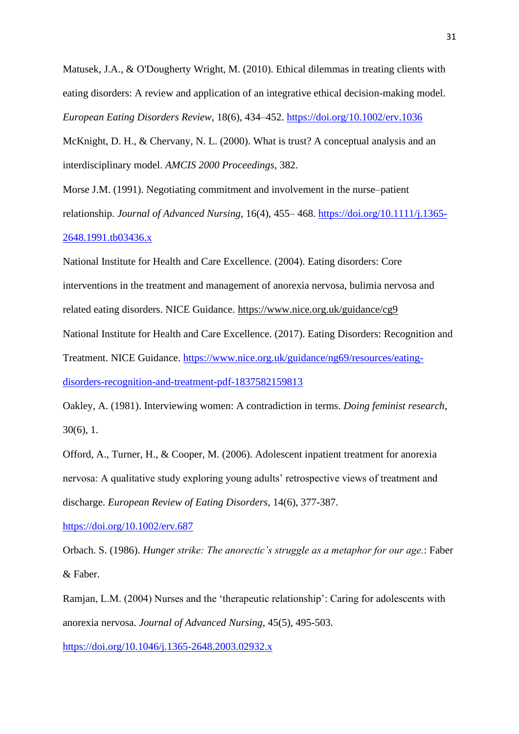Matusek, J.A., & O'Dougherty Wright, M. (2010). Ethical dilemmas in treating clients with eating disorders: A review and application of an integrative ethical decision-making model. *European Eating Disorders Review,* 18(6), 434–452.<https://doi.org/10.1002/erv.1036> McKnight, D. H., & Chervany, N. L. (2000). What is trust? A conceptual analysis and an interdisciplinary model. *AMCIS 2000 Proceedings*, 382.

Morse J.M. (1991). Negotiating commitment and involvement in the nurse–patient relationship. *Journal of Advanced Nursing,* 16(4), 455– 468. [https://doi.org/10.1111/j.1365-](https://doi.org/10.1111/j.1365-2648.1991.tb03436.x) [2648.1991.tb03436.x](https://doi.org/10.1111/j.1365-2648.1991.tb03436.x)

National Institute for Health and Care Excellence. (2004). Eating disorders: Core interventions in the treatment and management of anorexia nervosa, bulimia nervosa and related eating disorders. NICE Guidance.<https://www.nice.org.uk/guidance/cg9> National Institute for Health and Care Excellence. (2017). Eating Disorders: Recognition and Treatment. NICE Guidance. [https://www.nice.org.uk/guidance/ng69/resources/eating](https://www.nice.org.uk/guidance/ng69/resources/eating-disorders-recognition-and-treatment-pdf-1837582159813)[disorders-recognition-and-treatment-pdf-1837582159813](https://www.nice.org.uk/guidance/ng69/resources/eating-disorders-recognition-and-treatment-pdf-1837582159813)

Oakley, A. (1981). Interviewing women: A contradiction in terms. *Doing feminist research*, 30(6), 1.

Offord, A., Turner, H., & Cooper, M. (2006). Adolescent inpatient treatment for anorexia nervosa: A qualitative study exploring young adults' retrospective views of treatment and discharge. *European Review of Eating Disorders,* 14(6), 377-387.

<https://doi.org/10.1002/erv.687>

Orbach. S. (1986). *Hunger strike: The anorectic's struggle as a metaphor for our age.*: Faber & Faber.

Ramjan, L.M. (2004) Nurses and the 'therapeutic relationship': Caring for adolescents with anorexia nervosa. *Journal of Advanced Nursing,* 45(5), 495-503.

<https://doi.org/10.1046/j.1365-2648.2003.02932.x>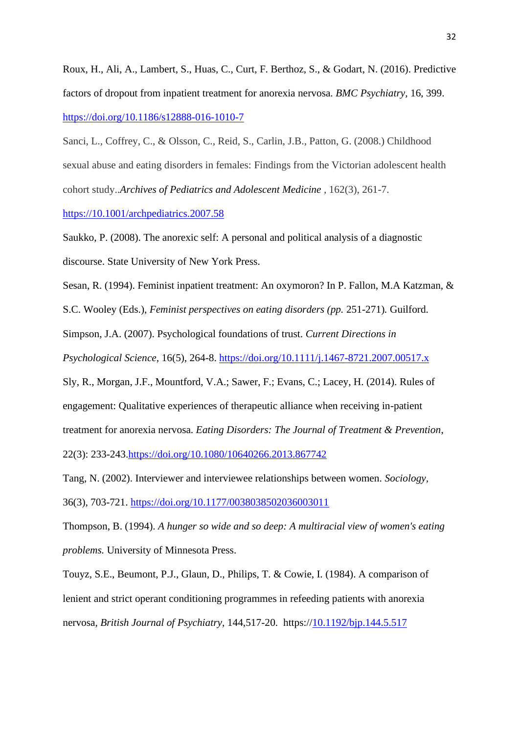Roux, H., Ali, A., Lambert, S., Huas, C., Curt, F. Berthoz, S., & Godart, N. (2016). Predictive factors of dropout from inpatient treatment for anorexia nervosa. *BMC Psychiatry,* 16, 399. <https://doi.org/10.1186/s12888-016-1010-7>

Sanci, L., Coffrey, C., & Olsson, C., Reid, S., Carlin, J.B., Patton, G. (2008.) Childhood sexual abuse and eating disorders in females: Findings from the Victorian adolescent health cohort study..*Archives of Pediatrics and Adolescent Medicine ,* 162(3), 261-7.

[https://10.1001/archpediatrics.2007.58](https://10.0.3.233/archpediatrics.2007.58)

Saukko, P. (2008). The anorexic self: A personal and political analysis of a diagnostic discourse. State University of New York Press.

Sesan, R. (1994). Feminist inpatient treatment: An oxymoron? In P. Fallon, M.A Katzman, &

S.C. Wooley (Eds.), *Feminist perspectives on eating disorders (pp.* 251-271)*.* Guilford.

Simpson, J.A. (2007). Psychological foundations of trust. *Current Directions in* 

*Psychological Science,* 16(5), 264-8. [https://doi.org/10.1111/j.1467-8721.2007.00517.x](https://doi.org/10.1111%2Fj.1467-8721.2007.00517.x)

Sly, R., Morgan, J.F., Mountford, V.A.; Sawer, F.; Evans, C.; Lacey, H. (2014). Rules of engagement: Qualitative experiences of therapeutic alliance when receiving in-patient treatment for anorexia nervosa. *Eating Disorders: The Journal of Treatment & Prevention*, 22(3): 233-243[.https://doi.org/10.1080/10640266.2013.867742](https://doi.org/10.1080/10640266.2013.867742)

Tang, N. (2002). Interviewer and interviewee relationships between women. *Sociology,* 

36(3), 703-721.<https://doi.org/10.1177/0038038502036003011>

Thompson, B. (1994). *A hunger so wide and so deep: A multiracial view of women's eating problems.* University of Minnesota Press.

Touyz, S.E., Beumont, P.J., Glaun, D., Philips, T. & Cowie, I. (1984). A comparison of lenient and strict operant conditioning programmes in refeeding patients with anorexia nervosa, *British Journal of Psychiatry*, 144,517-20. https:/[/10.1192/bjp.144.5.517](https://doi.org/10.1192/bjp.144.5.517)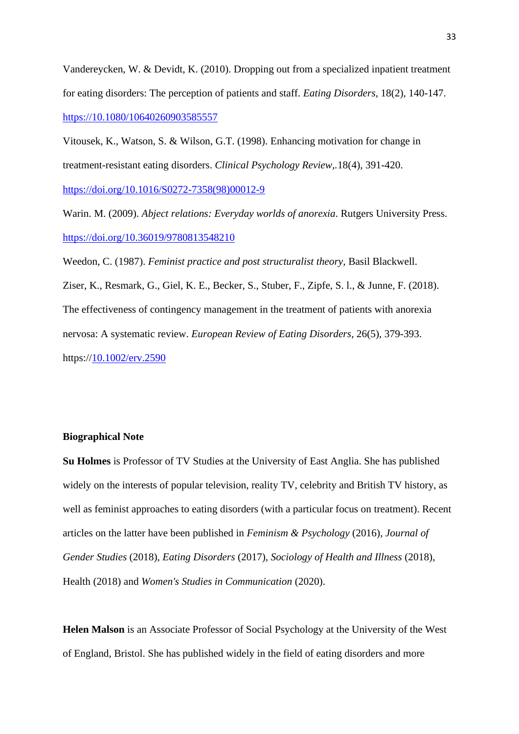Vandereycken, W. & Devidt, K. (2010). Dropping out from a specialized inpatient treatment for eating disorders: The perception of patients and staff. *Eating Disorders,* 18(2), 140-147. [https://10.1080/10640260903585557](https://10.0.4.56/10640260903585557)

Vitousek, K., Watson, S. & Wilson, G.T. (1998). Enhancing motivation for change in treatment-resistant eating disorders. *[Clinical Psychology Review,.](https://www.ncbi.nlm.nih.gov/pubmed/9638355)*18(4), 391-420. [https://doi.org/10.1016/S0272-7358\(98\)00012-9](https://doi.org/10.1016/S0272-7358(98)00012-9)

Warin. M. (2009). *Abject relations: Everyday worlds of anorexia*. Rutgers University Press. <https://doi.org/10.36019/9780813548210>

Weedon, C. (1987). *Feminist practice and post structuralist theory,* Basil Blackwell. Ziser, K., Resmark, G., Giel, K. E., Becker, S., Stuber, F., Zipfe, S. l., & Junne, F. (2018). The effectiveness of contingency management in the treatment of patients with anorexia nervosa: A systematic review. *European Review of Eating Disorders*, 26(5), 379-393. https:/[/10.1002/erv.2590](http://doi.org/10.1002/erv.2590)

### **Biographical Note**

**Su Holmes** is Professor of TV Studies at the University of East Anglia. She has published widely on the interests of popular television, reality TV, celebrity and British TV history, as well as feminist approaches to eating disorders (with a particular focus on treatment). Recent articles on the latter have been published in *Feminism & Psychology* (2016), *Journal of Gender Studies* (2018), *Eating Disorders* (2017), *Sociology of Health and Illness* (2018), Health (2018) and *Women's Studies in Communication* (2020).

**Helen Malson** is an Associate Professor of Social Psychology at the University of the West of England, Bristol. She has published widely in the field of eating disorders and more